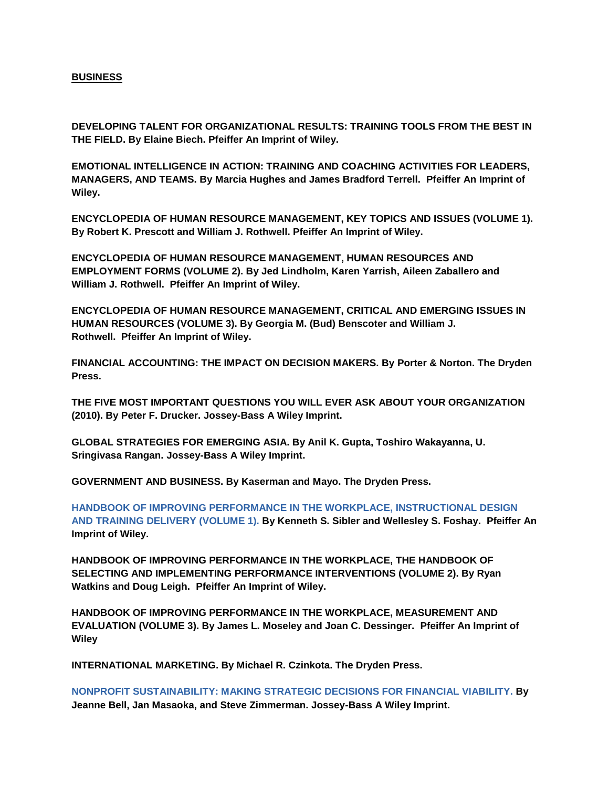## **BUSINESS**

**DEVELOPING TALENT FOR ORGANIZATIONAL RESULTS: TRAINING TOOLS FROM THE BEST IN THE FIELD. By Elaine Biech. Pfeiffer An Imprint of Wiley.**

**EMOTIONAL INTELLIGENCE IN ACTION: TRAINING AND COACHING ACTIVITIES FOR LEADERS, MANAGERS, AND TEAMS. By Marcia Hughes and James Bradford Terrell. Pfeiffer An Imprint of Wiley.**

**ENCYCLOPEDIA OF HUMAN RESOURCE MANAGEMENT, KEY TOPICS AND ISSUES (VOLUME 1). By Robert K. Prescott and William J. Rothwell. Pfeiffer An Imprint of Wiley.**

**ENCYCLOPEDIA OF HUMAN RESOURCE MANAGEMENT, HUMAN RESOURCES AND EMPLOYMENT FORMS (VOLUME 2). By Jed Lindholm, Karen Yarrish, Aileen Zaballero and William J. Rothwell. Pfeiffer An Imprint of Wiley.**

**ENCYCLOPEDIA OF HUMAN RESOURCE MANAGEMENT, CRITICAL AND EMERGING ISSUES IN HUMAN RESOURCES (VOLUME 3). By Georgia M. (Bud) Benscoter and William J. Rothwell. Pfeiffer An Imprint of Wiley.**

**FINANCIAL ACCOUNTING: THE IMPACT ON DECISION MAKERS. By Porter & Norton. The Dryden Press.**

**THE FIVE MOST IMPORTANT QUESTIONS YOU WILL EVER ASK ABOUT YOUR ORGANIZATION (2010). By Peter F. Drucker. Jossey-Bass A Wiley Imprint.**

**GLOBAL STRATEGIES FOR EMERGING ASIA. By Anil K. Gupta, Toshiro Wakayanna, U. Sringivasa Rangan. Jossey-Bass A Wiley Imprint.**

**GOVERNMENT AND BUSINESS. By Kaserman and Mayo. The Dryden Press.**

**[HANDBOOK OF IMPROVING PERFORMANCE IN THE WORKPLACE, INSTRUCTIONAL DESIGN](http://www.amazon.com/s/ref=nb_sb_noss?url=search-alias%3Dstripbooks&field-keywords=HANDBOOK+OF+IMPROVING+PERFORMANCE+IN+THE+WORKPLACE%2C+INSTRUCTIONAL+DESIGN+AND+TRAINING+DELIVERY+(VOLUME+1).&rh=n%3A283155%2Ck%3AHANDBOOK+OF+IMPROVING+PERFORMANCE+IN+THE+WORKPLACE%5Cc+INSTRUCTIONAL+DESIGN+AND+TRAINING+DELIVERY+(VOLUME+1).&ajr=0)  [AND TRAINING DELIVERY \(VOLUME 1\). B](http://www.amazon.com/s/ref=nb_sb_noss?url=search-alias%3Dstripbooks&field-keywords=HANDBOOK+OF+IMPROVING+PERFORMANCE+IN+THE+WORKPLACE%2C+INSTRUCTIONAL+DESIGN+AND+TRAINING+DELIVERY+(VOLUME+1).&rh=n%3A283155%2Ck%3AHANDBOOK+OF+IMPROVING+PERFORMANCE+IN+THE+WORKPLACE%5Cc+INSTRUCTIONAL+DESIGN+AND+TRAINING+DELIVERY+(VOLUME+1).&ajr=0)y Kenneth S. Sibler and Wellesley S. Foshay. Pfeiffer An Imprint of Wiley.**

**HANDBOOK OF IMPROVING PERFORMANCE IN THE WORKPLACE, THE HANDBOOK OF SELECTING AND IMPLEMENTING PERFORMANCE INTERVENTIONS (VOLUME 2). By Ryan Watkins and Doug Leigh. Pfeiffer An Imprint of Wiley.**

**HANDBOOK OF IMPROVING PERFORMANCE IN THE WORKPLACE, MEASUREMENT AND EVALUATION (VOLUME 3). By James L. Moseley and Joan C. Dessinger. Pfeiffer An Imprint of Wiley**

**INTERNATIONAL MARKETING. By Michael R. Czinkota. The Dryden Press.**

**[NONPROFIT SUSTAINABILITY: MAKING STRATEGIC DECISIONS FOR FINANCIAL VIABILITY.](http://www.amazon.com/Nonprofit-Sustainability-Strategic-Decisions-Financial/dp/0470598298/ref=sr_1_1?s=books&ie=UTF8&qid=1340089210&sr=1-1&keywords=NONPROFIT+SUSTAINABILITY%3A+MAKING+STRATEGIC+DECISIONS+FOR+FINANCIAL+VIABILITY) By Jeanne Bell, Jan Masaoka, and Steve Zimmerman. Jossey-Bass A Wiley Imprint.**